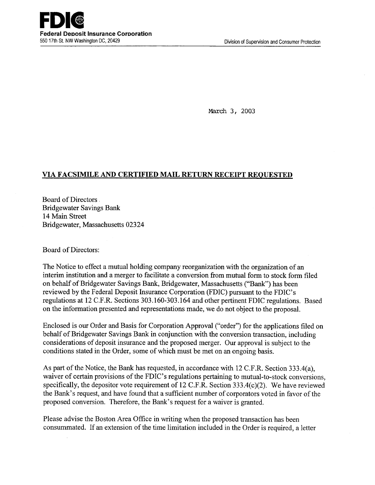March 3, 2003

## **VIA FACSIMILE AND CERTIFIED MAIL RETURN RECEIPT REQUESTED**

Board of Directors Bridgewater Savings Bank 14 Main Street Bridgewater, Massachusetts 02324

Board of Directors:

The Notice to effect a mutual holding company reorganization with the organization of an interim institution and a merger to facilitate a conversion from mutual form to stock form filed on behalf of Bridgewater Savings Bank, Bridgewater, Massachusetts ("Bank") has been reviewed by the Federal Deposit Insurance Corporation (FDIC) pursuant to the FDIC's regulations at 12 C.F.R. Sections 303.160-303.164 and other pertinent FDIC regulations. Based on the information presented and representations made, we do not object to the proposal.

Enclosed is our Order and Basis for Corporation Approval ("order") for the applications filed on behalf of Bridgewater Savings Bank in conjunction with the conversion transaction, including considerations of deposit insurance and the proposed merger. Our approval is subject to the conditions stated in the Order, some of which must be met on an ongoing basis.

As part of the Notice, the Bank has requested, in accordance with 12 C.F.R. Section 333.4(a), waiver of certain provisions of the FDIC's regulations pertaining to mutual-to-stock conversions, specifically, the depositor vote requirement of 12 C.F.R. Section 333.4(c)(2). We have reviewed the Bank's request, and have found that a sufficient number of corporators voted in favor of the proposed conversion. Therefore, the Bank's request for a waiver is granted.

Please advise the Boston Area Office in writing when the proposed transaction has been consummated. If an extension of the time limitation included in the Order is required, a letter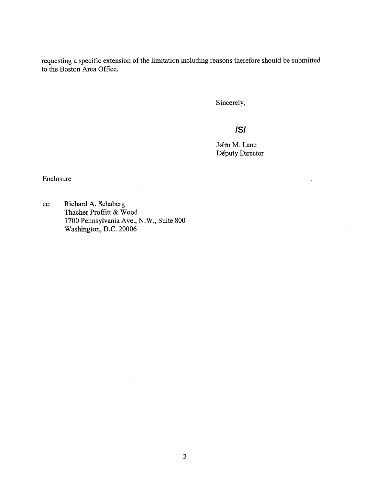requesting a specific extension of the limitation including reasons therefore should be submitt to the Boston Area Office.

Sincerely,

# **/S/**

John M. Lane Députy Director

 $\hat{\mathcal{L}}$ 

Enclosure

cc: Richard A. Schaberg Thacher Proffitt & Wood 1700 Pennsylvania Ave., N.W., Suite 800 Washington, D.C. 20006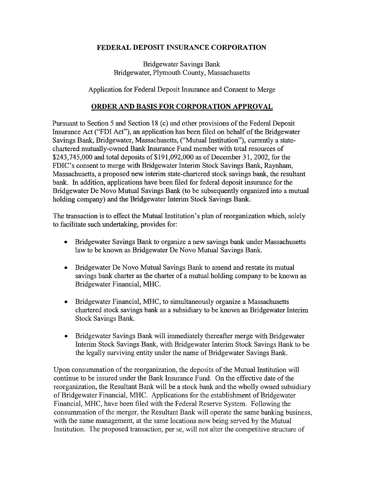### **FEDERAL DEPOSIT INSURANCE CORPORATION**

Bridgewater Savings Bank Bridgewater, Plymouth County, Massachusetts

Application for Federal Deposit Insurance and Consent to Merge

### **ORDER AND BASIS FOR CORPORATION APPROVAL**

Pursuant to Section 5 and Section 18 (c) and other provisions of the Federal Deposit Insurance Act ("FDI Act"), an application has been filed on behalf of the Bridgewater Savings Bank, Bridgewater, Massachusetts, ("Mutual Institution"), currently a statechartered mutually-owned Bank Insurance Fund member with total resources of \$243,745,000 and total deposits of \$191,092,000 as of December 31, 2002, for the FDIC's consent to merge with Bridgewater Interim Stock Savings Bank, Raynham, Massachusetts, a proposed new interim state-chartered stock savings bank, the resultant bank. In addition, applications have been filed for federal deposit insurance for the Bridgewater De Novo Mutual Savings Bank (to be subsequently organized into a mutual holding company) and the Bridgewater Interim Stock Savings Bank.

The transaction is to effect the Mutual Institution's plan of reorganization which, solely to facilitate such undertaking, provides for:

- Bridgewater Savings Bank to organize a new savings bank under Massachusetts law to be known as Bridgewater De Novo Mutual Savings Bank.
- Bridgewater De Novo Mutual Savings Bank to amend and restate its mutual savings bank charter as the charter of a mutual holding company to be known as Bridgewater Financial, MHC.
- Bridgewater Financial, MHC, to simultaneously organize a Massachusetts chartered stock savings bank as a subsidiary to be known as Bridgewater Interim Stock Savings Bank.
- Bridgewater Savings Bank will immediately thereafter merge with Bridgewater Interim Stock Savings Bank, with Bridgewater Interim Stock Savings Bank to be the legally surviving entity under the name of Bridgewater Savings Bank.

Upon consummation of the reorganization, the deposits of the Mutual Institution will continue to be insured under the Bank Insurance Fund. On the effective date of the reorganization, the Resultant Bank will be a stock bank and the wholly owned subsidiary of Bridgewater Financial, MHC. Applications for the establishment of Bridgewater Financial, MHC, have been filed with the Federal Reserve System. Following the consummation of the merger, the Resultant Bank will operate the same banking business, with the same management, at the same locations now being served by the Mutual Institution. The proposed transaction, per se, will not alter the competitive structure of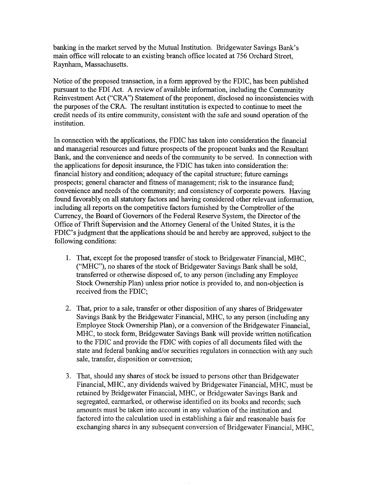banking in the market served by the Mutual Institution. Bridgewater Savings Bank's main office will relocate to an existing branch office located at *756* Orchard Street, Raynham, Massachusetts.

Notice of the proposed transaction, in a form approved by the FDIC, has been published pursuant to the FDI Act. A review of available information, including the Community Reinvestment Act ("CRA") Statement of the proponent, disclosed no inconsistencies with the purposes of the CRA. The resultant institution is expected to continue to meet the credit needs of its entire community, consistent with the safe and sound operation of the institution.

In connection with the applications, the FDIC has taken into consideration the financial and managerial resources and future prospects of the proponent banks and the Resultant Bank, and the convenience and needs of the community to be served. In connection with the applications for deposit insurance, the FDIC has taken into consideration the: financial history and condition; adequacy of the capital structure; future earnings prospects; general character and fitness of management; risk to the insurance fund; convenience and needs of the community; and consistency of corporate powers. Having found favorably, on all statutory factors and having considered other relevant information, including all reports on the competitive factors furnished by the Comptroller of the Currency, the Board of Governors of the Federal Reserve System, the Director of the Office of Thrift Supervision and the Attorney General of the United States, it is the FDIC's judgment that the applications should be and hereby are approved, subject to the following conditions:

- 1. That, except for the proposed transfer of stock to Bridgewater Financial, MHC, ("MHC"), no shares of the stock of Bridgewater Savings Bank shall be sold, transferred or otherwise disposed of, to any person (including any Employee Stock Ownership Plan) unless prior notice is provided to, and non-objection is received from the FDIC;
- 2. That, prior to a sale, transfer or other disposition of any shares of Bridgewater Savings Bank by the Bridgewater Financial, MHC, to any person (including any Employee Stock Ownership Plan), or a conversion of the Bridgewater Financial, MHC, to stock form, Bridgewater Savings Bank will provide written notification to the FDIC and provide the FDIC with copies of all documents filed with the state and federal banking and/or securities regulators in connection with any such sale, transfer, disposition or conversion;
- 3. That, should any shares of stock be issued to persons other than Bridgewater Financial, MHC, any dividends waived by Bridgewater Financial, MHC, must be retained by Bridgewater Financial, MHC, or Bridgewater Savings Bank and segregated, earmarked, or otherwise identified on its books and records; such amounts must be taken into account in any valuation of the institution and factored into the calculation used in establishing a fair and reasonable basis for exchanging shares in any subsequent conversion of Bridgewater Financial, MHC,